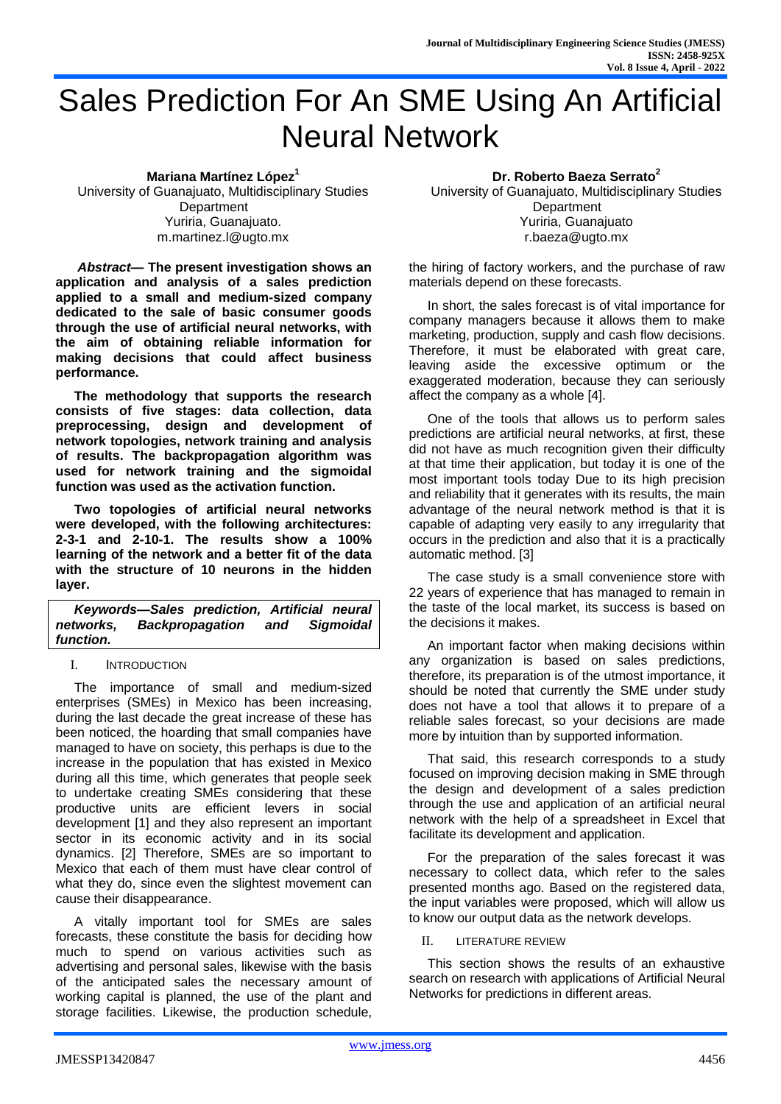# Sales Prediction For An SME Using An Artificial Neural Network

**Mariana Martínez López<sup>1</sup>** University of Guanajuato, Multidisciplinary Studies **Department** Yuriria, Guanajuato. m.martinez.l@ugto.mx

*Abstract***— The present investigation shows an application and analysis of a sales prediction applied to a small and medium-sized company dedicated to the sale of basic consumer goods through the use of artificial neural networks, with the aim of obtaining reliable information for making decisions that could affect business performance.**

**The methodology that supports the research consists of five stages: data collection, data preprocessing, design and development of network topologies, network training and analysis of results. The backpropagation algorithm was used for network training and the sigmoidal function was used as the activation function.**

**Two topologies of artificial neural networks were developed, with the following architectures: 2-3-1 and 2-10-1. The results show a 100% learning of the network and a better fit of the data with the structure of 10 neurons in the hidden layer.**

*Keywords—Sales prediction, Artificial neural networks, Backpropagation and Sigmoidal function.*

## I. INTRODUCTION

The importance of small and medium-sized enterprises (SMEs) in Mexico has been increasing, during the last decade the great increase of these has been noticed, the hoarding that small companies have managed to have on society, this perhaps is due to the increase in the population that has existed in Mexico during all this time, which generates that people seek to undertake creating SMEs considering that these productive units are efficient levers in social development [1] and they also represent an important sector in its economic activity and in its social dynamics. [2] Therefore, SMEs are so important to Mexico that each of them must have clear control of what they do, since even the slightest movement can cause their disappearance.

A vitally important tool for SMEs are sales forecasts, these constitute the basis for deciding how much to spend on various activities such as advertising and personal sales, likewise with the basis of the anticipated sales the necessary amount of working capital is planned, the use of the plant and storage facilities. Likewise, the production schedule,

## **Dr. Roberto Baeza Serrato<sup>2</sup>**

University of Guanajuato, Multidisciplinary Studies **Department** Yuriria, Guanajuato r.baeza@ugto.mx

the hiring of factory workers, and the purchase of raw materials depend on these forecasts.

In short, the sales forecast is of vital importance for company managers because it allows them to make marketing, production, supply and cash flow decisions. Therefore, it must be elaborated with great care, leaving aside the excessive optimum or the exaggerated moderation, because they can seriously affect the company as a whole [4].

One of the tools that allows us to perform sales predictions are artificial neural networks, at first, these did not have as much recognition given their difficulty at that time their application, but today it is one of the most important tools today Due to its high precision and reliability that it generates with its results, the main advantage of the neural network method is that it is capable of adapting very easily to any irregularity that occurs in the prediction and also that it is a practically automatic method. [3]

The case study is a small convenience store with 22 years of experience that has managed to remain in the taste of the local market, its success is based on the decisions it makes.

An important factor when making decisions within any organization is based on sales predictions, therefore, its preparation is of the utmost importance, it should be noted that currently the SME under study does not have a tool that allows it to prepare of a reliable sales forecast, so your decisions are made more by intuition than by supported information.

That said, this research corresponds to a study focused on improving decision making in SME through the design and development of a sales prediction through the use and application of an artificial neural network with the help of a spreadsheet in Excel that facilitate its development and application.

For the preparation of the sales forecast it was necessary to collect data, which refer to the sales presented months ago. Based on the registered data, the input variables were proposed, which will allow us to know our output data as the network develops.

II. LITERATURE REVIEW

This section shows the results of an exhaustive search on research with applications of Artificial Neural Networks for predictions in different areas.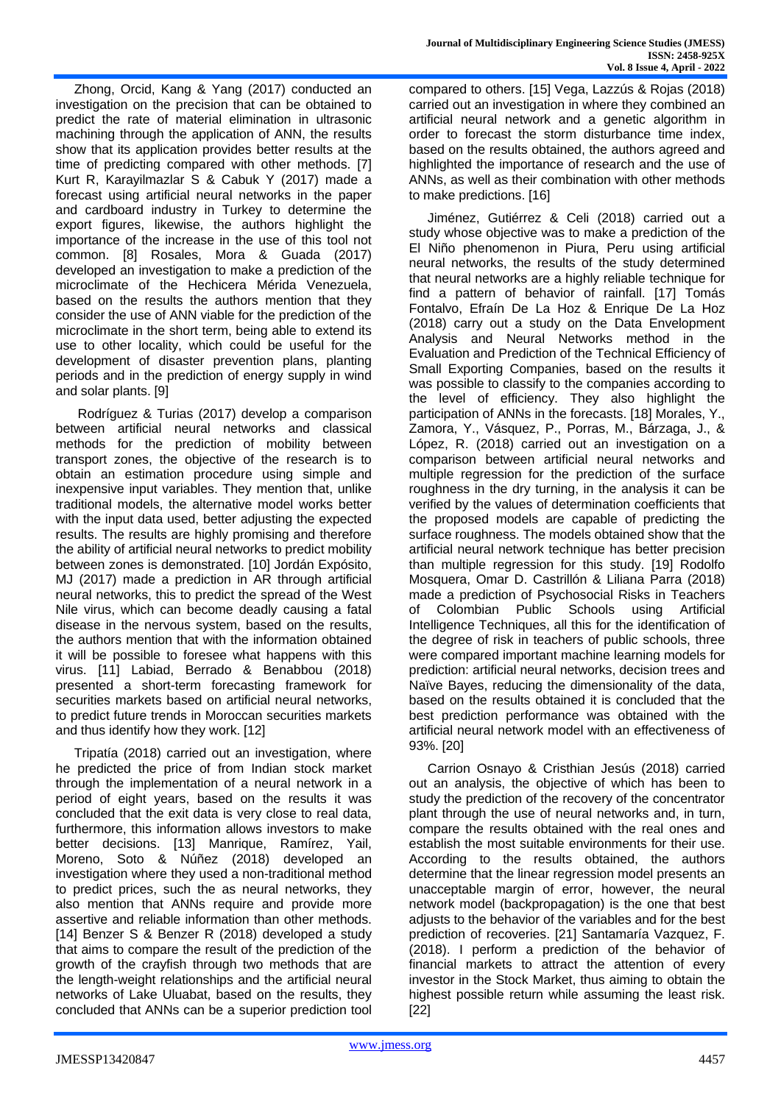Zhong, Orcid, Kang & Yang (2017) conducted an investigation on the precision that can be obtained to predict the rate of material elimination in ultrasonic machining through the application of ANN, the results show that its application provides better results at the time of predicting compared with other methods. [7] Kurt R, Karayilmazlar S & Cabuk Y (2017) made a forecast using artificial neural networks in the paper and cardboard industry in Turkey to determine the export figures, likewise, the authors highlight the importance of the increase in the use of this tool not common. [8] Rosales, Mora & Guada (2017) developed an investigation to make a prediction of the microclimate of the Hechicera Mérida Venezuela, based on the results the authors mention that they consider the use of ANN viable for the prediction of the microclimate in the short term, being able to extend its use to other locality, which could be useful for the development of disaster prevention plans, planting periods and in the prediction of energy supply in wind and solar plants. [9]

Rodríguez & Turias (2017) develop a comparison between artificial neural networks and classical methods for the prediction of mobility between transport zones, the objective of the research is to obtain an estimation procedure using simple and inexpensive input variables. They mention that, unlike traditional models, the alternative model works better with the input data used, better adjusting the expected results. The results are highly promising and therefore the ability of artificial neural networks to predict mobility between zones is demonstrated. [10] Jordán Expósito, MJ (2017) made a prediction in AR through artificial neural networks, this to predict the spread of the West Nile virus, which can become deadly causing a fatal disease in the nervous system, based on the results, the authors mention that with the information obtained it will be possible to foresee what happens with this virus. [11] Labiad, Berrado & Benabbou (2018) presented a short-term forecasting framework for securities markets based on artificial neural networks, to predict future trends in Moroccan securities markets and thus identify how they work. [12]

Tripatía (2018) carried out an investigation, where he predicted the price of from Indian stock market through the implementation of a neural network in a period of eight years, based on the results it was concluded that the exit data is very close to real data, furthermore, this information allows investors to make better decisions. [13] Manrique, Ramírez, Yail, Moreno, Soto & Núñez (2018) developed an investigation where they used a non-traditional method to predict prices, such the as neural networks, they also mention that ANNs require and provide more assertive and reliable information than other methods. [14] Benzer S & Benzer R (2018) developed a study that aims to compare the result of the prediction of the growth of the crayfish through two methods that are the length-weight relationships and the artificial neural networks of Lake Uluabat, based on the results, they concluded that ANNs can be a superior prediction tool

compared to others. [15] Vega, Lazzús & Rojas (2018) carried out an investigation in where they combined an artificial neural network and a genetic algorithm in order to forecast the storm disturbance time index, based on the results obtained, the authors agreed and highlighted the importance of research and the use of ANNs, as well as their combination with other methods to make predictions. [16]

Jiménez, Gutiérrez & Celi (2018) carried out a study whose objective was to make a prediction of the El Niño phenomenon in Piura, Peru using artificial neural networks, the results of the study determined that neural networks are a highly reliable technique for find a pattern of behavior of rainfall. [17] Tomás Fontalvo, Efraín De La Hoz & Enrique De La Hoz (2018) carry out a study on the Data Envelopment Analysis and Neural Networks method in the Evaluation and Prediction of the Technical Efficiency of Small Exporting Companies, based on the results it was possible to classify to the companies according to the level of efficiency. They also highlight the participation of ANNs in the forecasts. [18] Morales, Y., Zamora, Y., Vásquez, P., Porras, M., Bárzaga, J., & López, R. (2018) carried out an investigation on a comparison between artificial neural networks and multiple regression for the prediction of the surface roughness in the dry turning, in the analysis it can be verified by the values of determination coefficients that the proposed models are capable of predicting the surface roughness. The models obtained show that the artificial neural network technique has better precision than multiple regression for this study. [19] Rodolfo Mosquera, Omar D. Castrillón & Liliana Parra (2018) made a prediction of Psychosocial Risks in Teachers of Colombian Public Schools using Artificial Intelligence Techniques, all this for the identification of the degree of risk in teachers of public schools, three were compared important machine learning models for prediction: artificial neural networks, decision trees and Naïve Bayes, reducing the dimensionality of the data, based on the results obtained it is concluded that the best prediction performance was obtained with the artificial neural network model with an effectiveness of 93%. [20]

Carrion Osnayo & Cristhian Jesús (2018) carried out an analysis, the objective of which has been to study the prediction of the recovery of the concentrator plant through the use of neural networks and, in turn, compare the results obtained with the real ones and establish the most suitable environments for their use. According to the results obtained, the authors determine that the linear regression model presents an unacceptable margin of error, however, the neural network model (backpropagation) is the one that best adjusts to the behavior of the variables and for the best prediction of recoveries. [21] Santamaría Vazquez, F. (2018). I perform a prediction of the behavior of financial markets to attract the attention of every investor in the Stock Market, thus aiming to obtain the highest possible return while assuming the least risk. [22]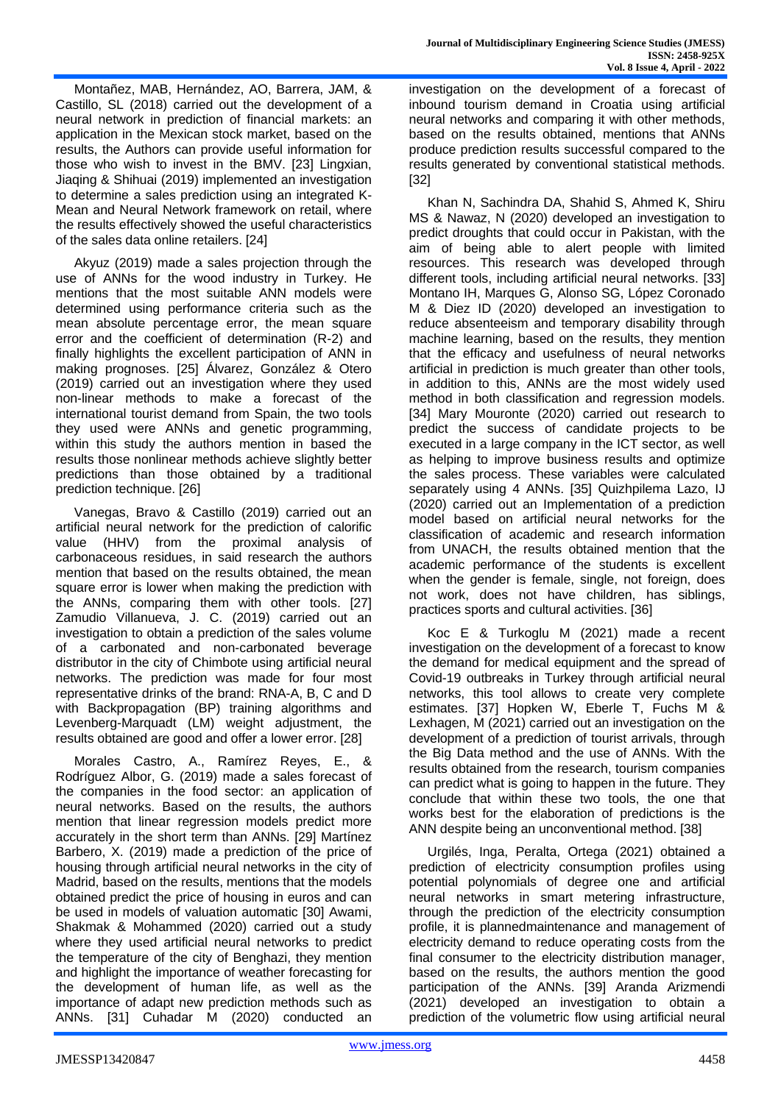Montañez, MAB, Hernández, AO, Barrera, JAM, & Castillo, SL (2018) carried out the development of a neural network in prediction of financial markets: an application in the Mexican stock market, based on the results, the Authors can provide useful information for those who wish to invest in the BMV. [23] Lingxian, Jiaqing & Shihuai (2019) implemented an investigation to determine a sales prediction using an integrated K-Mean and Neural Network framework on retail, where the results effectively showed the useful characteristics of the sales data online retailers. [24]

Akyuz (2019) made a sales projection through the use of ANNs for the wood industry in Turkey. He mentions that the most suitable ANN models were determined using performance criteria such as the mean absolute percentage error, the mean square error and the coefficient of determination (R-2) and finally highlights the excellent participation of ANN in making prognoses. [25] Álvarez, González & Otero (2019) carried out an investigation where they used non-linear methods to make a forecast of the international tourist demand from Spain, the two tools they used were ANNs and genetic programming, within this study the authors mention in based the results those nonlinear methods achieve slightly better predictions than those obtained by a traditional prediction technique. [26]

Vanegas, Bravo & Castillo (2019) carried out an artificial neural network for the prediction of calorific value (HHV) from the proximal analysis of carbonaceous residues, in said research the authors mention that based on the results obtained, the mean square error is lower when making the prediction with the ANNs, comparing them with other tools. [27] Zamudio Villanueva, J. C. (2019) carried out an investigation to obtain a prediction of the sales volume of a carbonated and non-carbonated beverage distributor in the city of Chimbote using artificial neural networks. The prediction was made for four most representative drinks of the brand: RNA-A, B, C and D with Backpropagation (BP) training algorithms and Levenberg-Marquadt (LM) weight adjustment, the results obtained are good and offer a lower error. [28]

Morales Castro, A., Ramírez Reyes, E., & Rodríguez Albor, G. (2019) made a sales forecast of the companies in the food sector: an application of neural networks. Based on the results, the authors mention that linear regression models predict more accurately in the short term than ANNs. [29] Martínez Barbero, X. (2019) made a prediction of the price of housing through artificial neural networks in the city of Madrid, based on the results, mentions that the models obtained predict the price of housing in euros and can be used in models of valuation automatic [30] Awami, Shakmak & Mohammed (2020) carried out a study where they used artificial neural networks to predict the temperature of the city of Benghazi, they mention and highlight the importance of weather forecasting for the development of human life, as well as the importance of adapt new prediction methods such as ANNs. [31] Cuhadar M (2020) conducted an

investigation on the development of a forecast of inbound tourism demand in Croatia using artificial neural networks and comparing it with other methods, based on the results obtained, mentions that ANNs produce prediction results successful compared to the results generated by conventional statistical methods. [32]

Khan N, Sachindra DA, Shahid S, Ahmed K, Shiru MS & Nawaz, N (2020) developed an investigation to predict droughts that could occur in Pakistan, with the aim of being able to alert people with limited resources. This research was developed through different tools, including artificial neural networks. [33] Montano IH, Marques G, Alonso SG, López Coronado M & Diez ID (2020) developed an investigation to reduce absenteeism and temporary disability through machine learning, based on the results, they mention that the efficacy and usefulness of neural networks artificial in prediction is much greater than other tools, in addition to this, ANNs are the most widely used method in both classification and regression models. [34] Mary Mouronte (2020) carried out research to predict the success of candidate projects to be executed in a large company in the ICT sector, as well as helping to improve business results and optimize the sales process. These variables were calculated separately using 4 ANNs. [35] Quizhpilema Lazo, IJ (2020) carried out an Implementation of a prediction model based on artificial neural networks for the classification of academic and research information from UNACH, the results obtained mention that the academic performance of the students is excellent when the gender is female, single, not foreign, does not work, does not have children, has siblings, practices sports and cultural activities. [36]

Koc E & Turkoglu M (2021) made a recent investigation on the development of a forecast to know the demand for medical equipment and the spread of Covid-19 outbreaks in Turkey through artificial neural networks, this tool allows to create very complete estimates. [37] Hopken W, Eberle T, Fuchs M & Lexhagen, M (2021) carried out an investigation on the development of a prediction of tourist arrivals, through the Big Data method and the use of ANNs. With the results obtained from the research, tourism companies can predict what is going to happen in the future. They conclude that within these two tools, the one that works best for the elaboration of predictions is the ANN despite being an unconventional method. [38]

Urgilés, Inga, Peralta, Ortega (2021) obtained a prediction of electricity consumption profiles using potential polynomials of degree one and artificial neural networks in smart metering infrastructure, through the prediction of the electricity consumption profile, it is plannedmaintenance and management of electricity demand to reduce operating costs from the final consumer to the electricity distribution manager, based on the results, the authors mention the good participation of the ANNs. [39] Aranda Arizmendi (2021) developed an investigation to obtain a prediction of the volumetric flow using artificial neural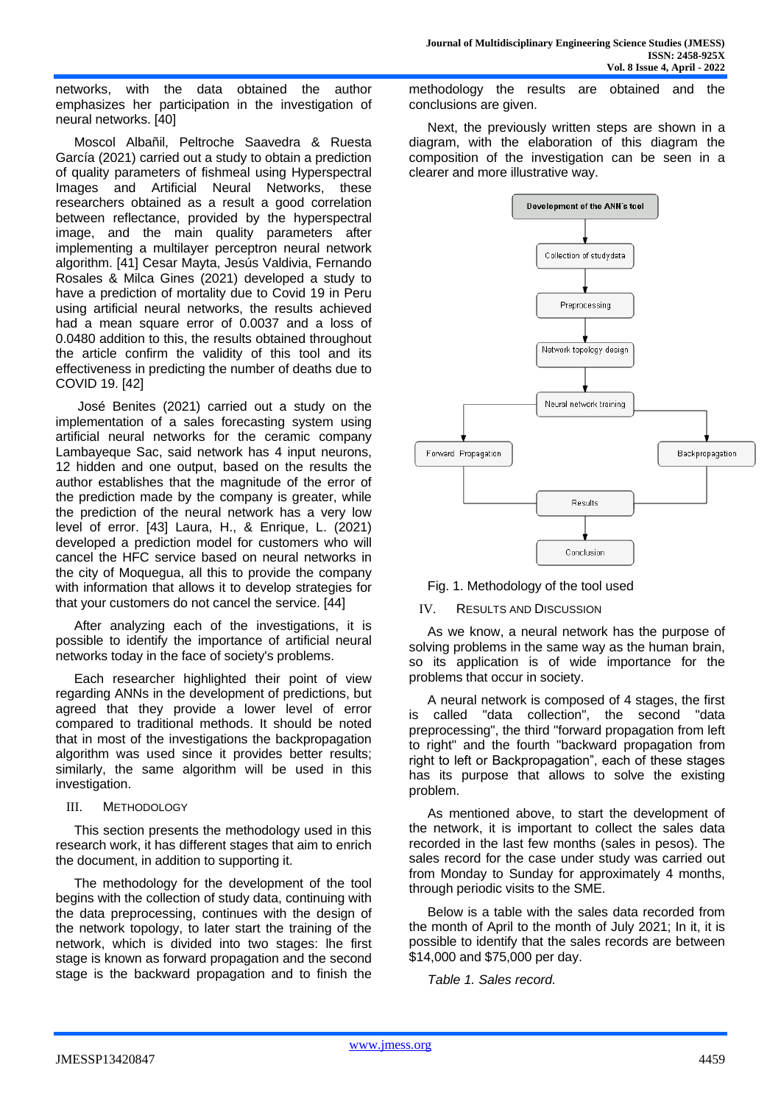networks, with the data obtained the author emphasizes her participation in the investigation of neural networks. [40]

Moscol Albañil, Peltroche Saavedra & Ruesta García (2021) carried out a study to obtain a prediction of quality parameters of fishmeal using Hyperspectral Images and Artificial Neural Networks, these researchers obtained as a result a good correlation between reflectance, provided by the hyperspectral image, and the main quality parameters after implementing a multilayer perceptron neural network algorithm. [41] Cesar Mayta, Jesús Valdivia, Fernando Rosales & Milca Gines (2021) developed a study to have a prediction of mortality due to Covid 19 in Peru using artificial neural networks, the results achieved had a mean square error of 0.0037 and a loss of 0.0480 addition to this, the results obtained throughout the article confirm the validity of this tool and its effectiveness in predicting the number of deaths due to COVID 19. [42]

José Benites (2021) carried out a study on the implementation of a sales forecasting system using artificial neural networks for the ceramic company Lambayeque Sac, said network has 4 input neurons, 12 hidden and one output, based on the results the author establishes that the magnitude of the error of the prediction made by the company is greater, while the prediction of the neural network has a very low level of error. [43] Laura, H., & Enrique, L. (2021) developed a prediction model for customers who will cancel the HFC service based on neural networks in the city of Moquegua, all this to provide the company with information that allows it to develop strategies for that your customers do not cancel the service. [44]

After analyzing each of the investigations, it is possible to identify the importance of artificial neural networks today in the face of society's problems.

Each researcher highlighted their point of view regarding ANNs in the development of predictions, but agreed that they provide a lower level of error compared to traditional methods. It should be noted that in most of the investigations the backpropagation algorithm was used since it provides better results; similarly, the same algorithm will be used in this investigation.

### III. METHODOLOGY

This section presents the methodology used in this research work, it has different stages that aim to enrich the document, in addition to supporting it.

The methodology for the development of the tool begins with the collection of study data, continuing with the data preprocessing, continues with the design of the network topology, to later start the training of the network, which is divided into two stages: lhe first stage is known as forward propagation and the second stage is the backward propagation and to finish the methodology the results are obtained and the conclusions are given.

Next, the previously written steps are shown in a diagram, with the elaboration of this diagram the composition of the investigation can be seen in a clearer and more illustrative way.





## IV. RESULTS AND DISCUSSION

As we know, a neural network has the purpose of solving problems in the same way as the human brain, so its application is of wide importance for the problems that occur in society.

A neural network is composed of 4 stages, the first is called "data collection", the second "data preprocessing", the third "forward propagation from left to right" and the fourth "backward propagation from right to left or Backpropagation", each of these stages has its purpose that allows to solve the existing problem.

As mentioned above, to start the development of the network, it is important to collect the sales data recorded in the last few months (sales in pesos). The sales record for the case under study was carried out from Monday to Sunday for approximately 4 months, through periodic visits to the SME.

Below is a table with the sales data recorded from the month of April to the month of July 2021; In it, it is possible to identify that the sales records are between \$14,000 and \$75,000 per day.

*Table 1. Sales record.*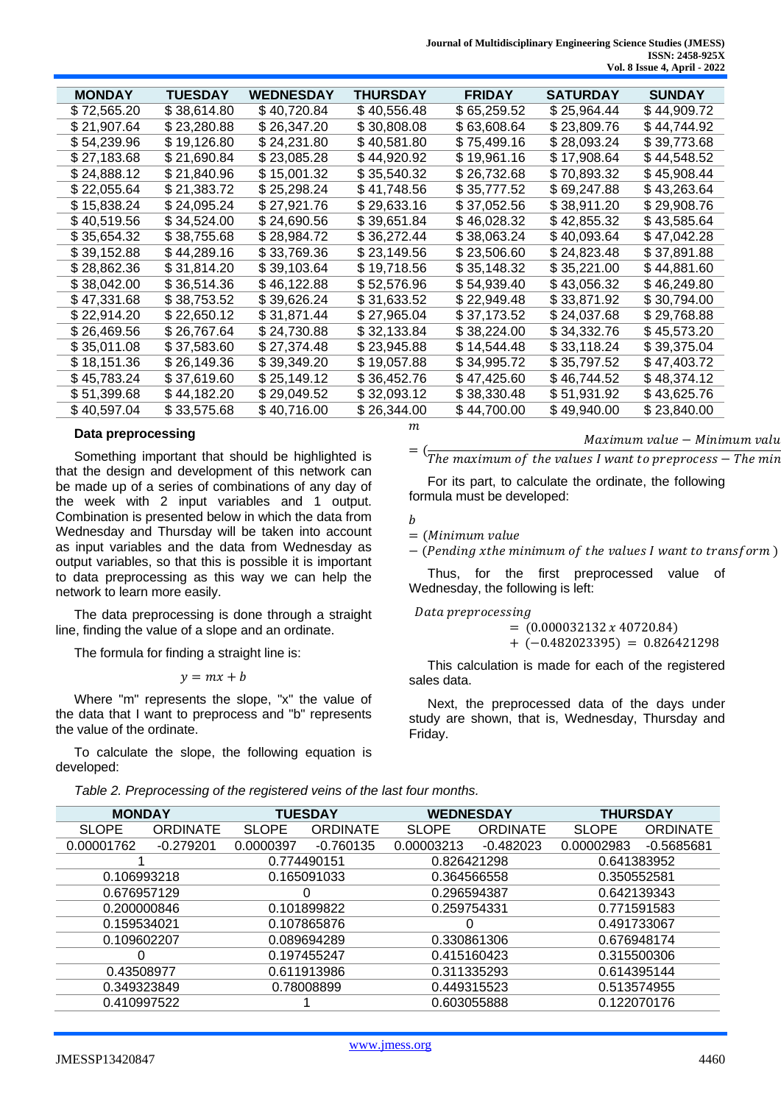|  | <b>MONDAY</b> | <b>TUESDAY</b> | <b>WEDNESDAY</b> | <b>THURSDAY</b> | <b>FRIDAY</b> | <b>SATURDAY</b> | <b>SUNDAY</b> |
|--|---------------|----------------|------------------|-----------------|---------------|-----------------|---------------|
|  | \$72,565.20   | \$38,614.80    | \$40,720.84      | \$40,556.48     | \$65,259.52   | \$25,964.44     | \$44,909.72   |
|  | \$21,907.64   | \$23,280.88    | \$26,347.20      | \$30,808.08     | \$63,608.64   | \$23,809.76     | \$44,744.92   |
|  | \$54,239.96   | \$19,126.80    | \$24,231.80      | \$40,581.80     | \$75,499.16   | \$28,093.24     | \$39,773.68   |
|  | \$27,183.68   | \$21,690.84    | \$23,085.28      | \$44,920.92     | \$19,961.16   | \$17,908.64     | \$44,548.52   |
|  | \$24,888.12   | \$21,840.96    | \$15,001.32      | \$35,540.32     | \$26,732.68   | \$70,893.32     | \$45,908.44   |
|  | \$22,055.64   | \$21,383.72    | \$25,298.24      | \$41,748.56     | \$35,777.52   | \$69,247.88     | \$43,263.64   |
|  | \$15,838.24   | \$24,095.24    | \$27,921.76      | \$29,633.16     | \$37,052.56   | \$38,911.20     | \$29,908.76   |
|  | \$40,519.56   | \$34,524.00    | \$24,690.56      | \$39,651.84     | \$46,028.32   | \$42,855.32     | \$43,585.64   |
|  | \$35,654.32   | \$38,755.68    | \$28,984.72      | \$36,272.44     | \$38,063.24   | \$40,093.64     | \$47,042.28   |
|  | \$39,152.88   | \$44,289.16    | \$33,769.36      | \$23,149.56     | \$23,506.60   | \$24,823.48     | \$37,891.88   |
|  | \$28,862.36   | \$31,814.20    | \$39,103.64      | \$19,718.56     | \$35,148.32   | \$35,221.00     | \$44,881.60   |
|  | \$38,042.00   | \$36,514.36    | \$46,122.88      | \$52,576.96     | \$54,939.40   | \$43,056.32     | \$46,249.80   |
|  | \$47,331.68   | \$38,753.52    | \$39,626.24      | \$31,633.52     | \$22,949.48   | \$33,871.92     | \$30,794.00   |
|  | \$22,914.20   | \$22,650.12    | \$31,871.44      | \$27,965.04     | \$37,173.52   | \$24,037.68     | \$29,768.88   |
|  | \$26,469.56   | \$26,767.64    | \$24,730.88      | \$32,133.84     | \$38,224.00   | \$34,332.76     | \$45,573.20   |
|  | \$35,011.08   | \$37,583.60    | \$27,374.48      | \$23,945.88     | \$14,544.48   | \$33,118.24     | \$39,375.04   |
|  | \$18,151.36   | \$26,149.36    | \$39,349.20      | \$19,057.88     | \$34,995.72   | \$35,797.52     | \$47,403.72   |
|  | \$45,783.24   | \$37,619.60    | \$25,149.12      | \$36,452.76     | \$47,425.60   | \$46,744.52     | \$48,374.12   |
|  | \$51,399.68   | \$44,182.20    | \$29,049.52      | \$32,093.12     | \$38,330.48   | \$51,931.92     | \$43,625.76   |
|  | \$40,597.04   | \$33,575.68    | \$40,716.00      | \$26,344.00     | \$44,700.00   | \$49,940.00     | \$23,840.00   |
|  |               |                |                  | m               |               |                 |               |

#### **Data preprocessing**

Something important that should be highlighted is that the design and development of this network can be made up of a series of combinations of any day of the week with 2 input variables and 1 output. Combination is presented below in which the data from Wednesday and Thursday will be taken into account as input variables and the data from Wednesday as output variables, so that this is possible it is important to data preprocessing as this way we can help the network to learn more easily.

The data preprocessing is done through a straight line, finding the value of a slope and an ordinate.

The formula for finding a straight line is:

 $y = mx + b$ 

Where "m" represents the slope, "x" the value of the data that I want to preprocess and "b" represents the value of the ordinate.

To calculate the slope, the following equation is developed:

Maximum value − Minimum valu

 $=$   $\left(\frac{1}{\pi}h$  maximum of the values I want to preprocess  $-\pi h$  min

For its part, to calculate the ordinate, the following formula must be developed:

```
\boldsymbol{h}
```
 $=$  (Minimum value)

− (Pending xthe minimum of the values I want to transform)

Thus, for the first preprocessed value of Wednesday, the following is left:

Data preprocessing

 $= (0.000032132 \times 40720.84)$ 

+ (−0.482023395) = 0.826421298

This calculation is made for each of the registered sales data.

Next, the preprocessed data of the days under study are shown, that is, Wednesday, Thursday and Friday.

*Table 2. Preprocessing of the registered veins of the last four months.*

| <b>MONDAY</b> |                 | <b>TUESDAY</b> |                 | <b>WEDNESDAY</b> |                 | <b>THURSDAY</b> |                 |
|---------------|-----------------|----------------|-----------------|------------------|-----------------|-----------------|-----------------|
| <b>SLOPE</b>  | <b>ORDINATE</b> | <b>SLOPE</b>   | <b>ORDINATE</b> | <b>SLOPE</b>     | <b>ORDINATE</b> | <b>SLOPE</b>    | <b>ORDINATE</b> |
| 0.00001762    | $-0.279201$     | 0.0000397      | $-0.760135$     | 0.00003213       | $-0.482023$     | 0.00002983      | $-0.5685681$    |
|               |                 | 0.774490151    |                 | 0.826421298      |                 | 0.641383952     |                 |
| 0.106993218   |                 | 0.165091033    |                 | 0.364566558      |                 | 0.350552581     |                 |
| 0.676957129   |                 | O              |                 | 0.296594387      |                 | 0.642139343     |                 |
| 0.200000846   |                 | 0.101899822    |                 | 0.259754331      |                 | 0.771591583     |                 |
| 0.159534021   |                 | 0.107865876    |                 | O                |                 | 0.491733067     |                 |
| 0.109602207   |                 | 0.089694289    |                 | 0.330861306      |                 | 0.676948174     |                 |
| ი             |                 | 0.197455247    |                 | 0.415160423      |                 | 0.315500306     |                 |
| 0.43508977    |                 | 0.611913986    |                 | 0.311335293      |                 | 0.614395144     |                 |
| 0.349323849   |                 | 0.78008899     |                 | 0.449315523      |                 | 0.513574955     |                 |
| 0.410997522   |                 |                |                 | 0.603055888      |                 | 0.122070176     |                 |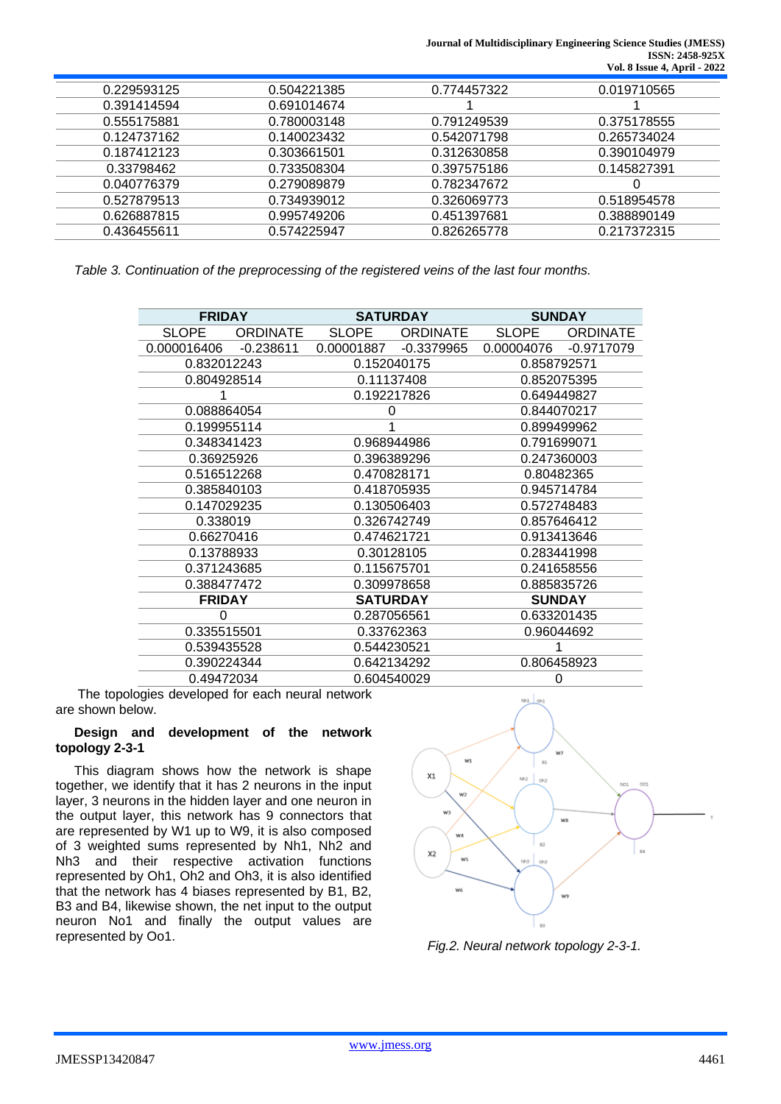**Journal of Multidisciplinary Engineering Science Studies (JMESS) ISSN: 2458-925X Vol. 8 Issue 4, April - 2022**

| 0.229593125 | 0.504221385 | 0.774457322 | 0.019710565 |
|-------------|-------------|-------------|-------------|
| 0.391414594 | 0.691014674 |             |             |
| 0.555175881 | 0.780003148 | 0.791249539 | 0.375178555 |
| 0.124737162 | 0.140023432 | 0.542071798 | 0.265734024 |
| 0.187412123 | 0.303661501 | 0.312630858 | 0.390104979 |
| 0.33798462  | 0.733508304 | 0.397575186 | 0.145827391 |
| 0.040776379 | 0.279089879 | 0.782347672 |             |
| 0.527879513 | 0.734939012 | 0.326069773 | 0.518954578 |
| 0.626887815 | 0.995749206 | 0.451397681 | 0.388890149 |
| 0.436455611 | 0.574225947 | 0.826265778 | 0.217372315 |

*Table 3. Continuation of the preprocessing of the registered veins of the last four months.*

| <b>FRIDAY</b> |                 | <b>SATURDAY</b>            |                 | <b>SUNDAY</b> |                 |  |  |  |
|---------------|-----------------|----------------------------|-----------------|---------------|-----------------|--|--|--|
| <b>SLOPE</b>  | <b>ORDINATE</b> | <b>SLOPE</b>               | <b>ORDINATE</b> | <b>SLOPE</b>  | <b>ORDINATE</b> |  |  |  |
| 0.000016406   | $-0.238611$     | 0.00001887                 | $-0.3379965$    | 0.00004076    | $-0.9717079$    |  |  |  |
|               | 0.832012243     |                            | 0.152040175     |               | 0.858792571     |  |  |  |
| 0.804928514   |                 | 0.11137408                 |                 | 0.852075395   |                 |  |  |  |
|               |                 | 0.192217826                |                 | 0.649449827   |                 |  |  |  |
| 0.088864054   |                 | 0                          |                 | 0.844070217   |                 |  |  |  |
| 0.199955114   |                 |                            |                 | 0.899499962   |                 |  |  |  |
| 0.348341423   |                 | 0.968944986                |                 | 0.791699071   |                 |  |  |  |
| 0.36925926    |                 | 0.396389296                |                 | 0.247360003   |                 |  |  |  |
| 0.516512268   |                 | 0.470828171                |                 | 0.80482365    |                 |  |  |  |
| 0.385840103   |                 | 0.418705935                |                 | 0.945714784   |                 |  |  |  |
| 0.147029235   |                 | 0.130506403                |                 | 0.572748483   |                 |  |  |  |
| 0.338019      |                 | 0.326742749                |                 | 0.857646412   |                 |  |  |  |
| 0.66270416    |                 | 0.474621721                |                 | 0.913413646   |                 |  |  |  |
| 0.13788933    |                 | 0.30128105                 |                 | 0.283441998   |                 |  |  |  |
| 0.371243685   |                 | 0.115675701                |                 | 0.241658556   |                 |  |  |  |
| 0.388477472   |                 | 0.309978658                |                 | 0.885835726   |                 |  |  |  |
| <b>FRIDAY</b> |                 | <b>SATURDAY</b>            |                 | <b>SUNDAY</b> |                 |  |  |  |
|               |                 | 0.287056561                |                 | 0.633201435   |                 |  |  |  |
| 0.335515501   |                 | 0.33762363                 |                 | 0.96044692    |                 |  |  |  |
| 0.539435528   |                 | 0.544230521                |                 |               |                 |  |  |  |
| 0.390224344   |                 | 0.806458923<br>0.642134292 |                 |               |                 |  |  |  |
| 0.49472034    |                 | 0.604540029                |                 |               |                 |  |  |  |

The topologies developed for each neural network are shown below.

### **Design and development of the network topology 2-3-1**

This diagram shows how the network is shape together, we identify that it has 2 neurons in the input layer, 3 neurons in the hidden layer and one neuron in the output layer, this network has 9 connectors that are represented by W1 up to W9, it is also composed of 3 weighted sums represented by Nh1, Nh2 and Nh3 and their respective activation functions represented by Oh1, Oh2 and Oh3, it is also identified that the network has 4 biases represented by B1, B2, B3 and B4, likewise shown, the net input to the output neuron No1 and finally the output values are represented by Oo1.



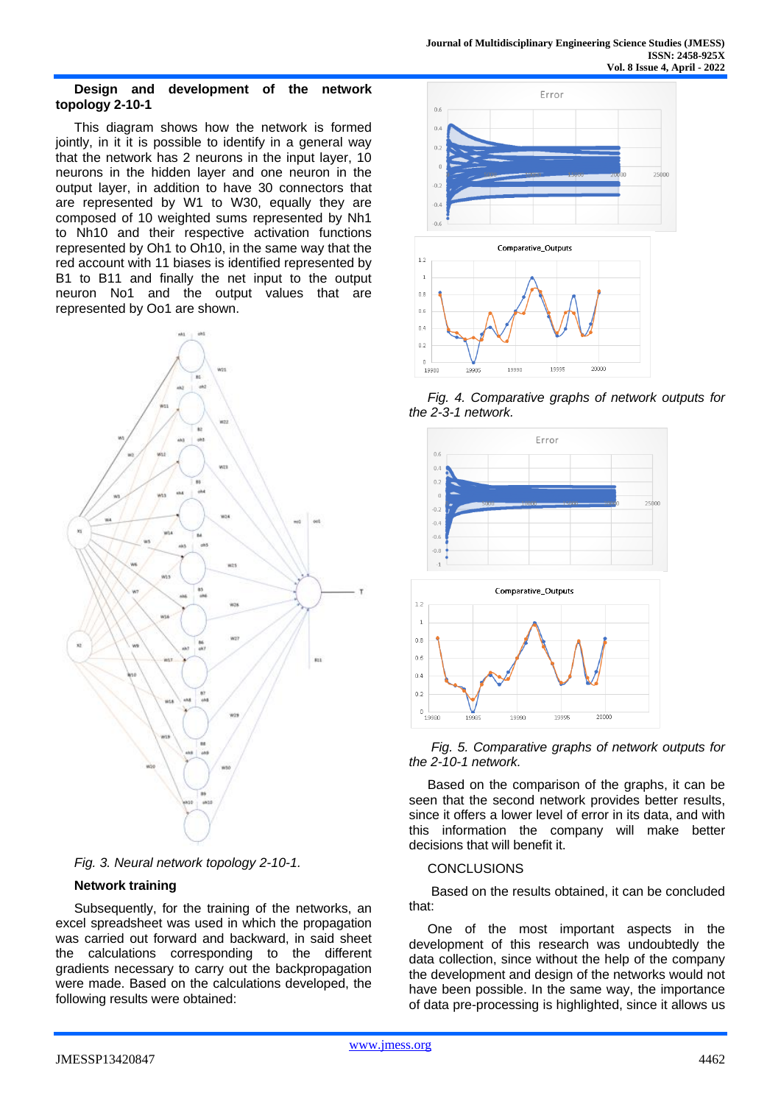#### **Design and development of the network topology 2-10-1**

This diagram shows how the network is formed jointly, in it it is possible to identify in a general way that the network has 2 neurons in the input layer, 10 neurons in the hidden layer and one neuron in the output layer, in addition to have 30 connectors that are represented by W1 to W30, equally they are composed of 10 weighted sums represented by Nh1 to Nh10 and their respective activation functions represented by Oh1 to Oh10, in the same way that the red account with 11 biases is identified represented by B1 to B11 and finally the net input to the output neuron No1 and the output values that are represented by Oo1 are shown.





## **Network training**

Subsequently, for the training of the networks, an excel spreadsheet was used in which the propagation was carried out forward and backward, in said sheet the calculations corresponding to the different gradients necessary to carry out the backpropagation were made. Based on the calculations developed, the following results were obtained:







*Fig. 5. Comparative graphs of network outputs for the 2-10-1 network.*

Based on the comparison of the graphs, it can be seen that the second network provides better results, since it offers a lower level of error in its data, and with this information the company will make better decisions that will benefit it.

### **CONCLUSIONS**

Based on the results obtained, it can be concluded that:

One of the most important aspects in the development of this research was undoubtedly the data collection, since without the help of the company the development and design of the networks would not have been possible. In the same way, the importance of data pre-processing is highlighted, since it allows us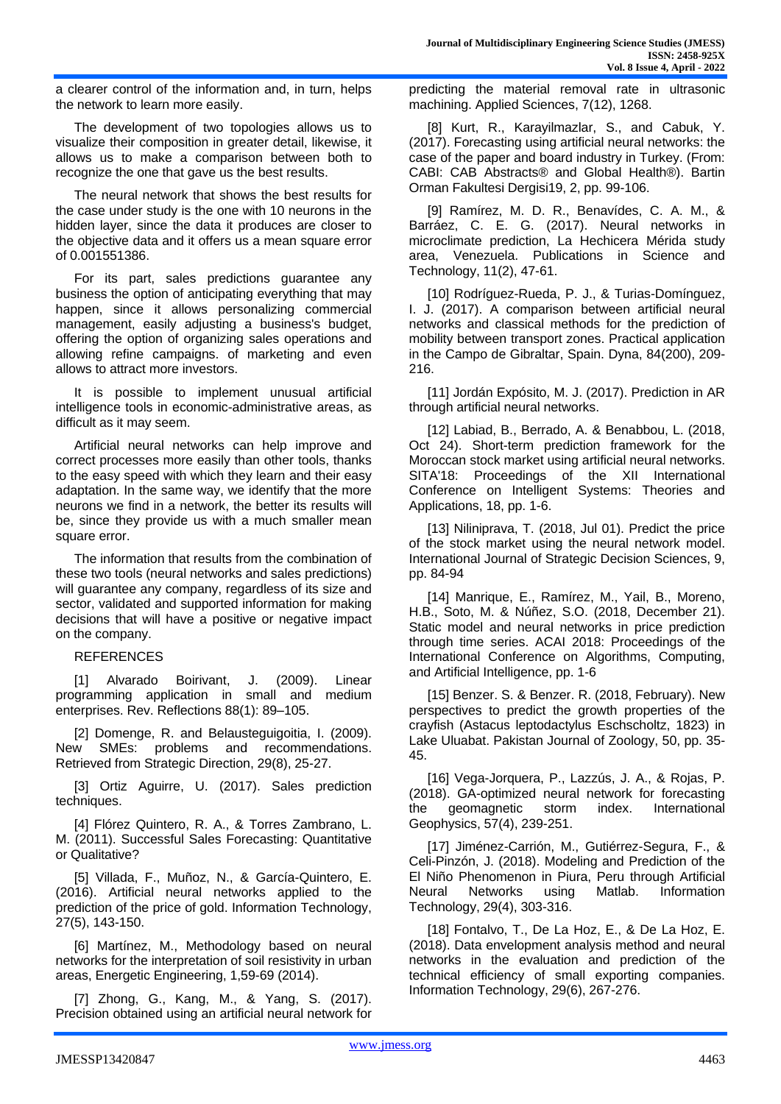a clearer control of the information and, in turn, helps the network to learn more easily.

The development of two topologies allows us to visualize their composition in greater detail, likewise, it allows us to make a comparison between both to recognize the one that gave us the best results.

The neural network that shows the best results for the case under study is the one with 10 neurons in the hidden layer, since the data it produces are closer to the objective data and it offers us a mean square error of 0.001551386.

For its part, sales predictions guarantee any business the option of anticipating everything that may happen, since it allows personalizing commercial management, easily adjusting a business's budget, offering the option of organizing sales operations and allowing refine campaigns. of marketing and even allows to attract more investors.

It is possible to implement unusual artificial intelligence tools in economic-administrative areas, as difficult as it may seem.

Artificial neural networks can help improve and correct processes more easily than other tools, thanks to the easy speed with which they learn and their easy adaptation. In the same way, we identify that the more neurons we find in a network, the better its results will be, since they provide us with a much smaller mean square error.

The information that results from the combination of these two tools (neural networks and sales predictions) will guarantee any company, regardless of its size and sector, validated and supported information for making decisions that will have a positive or negative impact on the company.

## **REFERENCES**

[1] Alvarado Boirivant, J. (2009). Linear programming application in small and medium enterprises. Rev. Reflections 88(1): 89–105.

[2] Domenge, R. and Belausteguigoitia, I. (2009). New SMEs: problems and recommendations. Retrieved from Strategic Direction, 29(8), 25-27.

[3] Ortiz Aguirre, U. (2017). Sales prediction techniques.

[4] Flórez Quintero, R. A., & Torres Zambrano, L. M. (2011). Successful Sales Forecasting: Quantitative or Qualitative?

[5] Villada, F., Muñoz, N., & García-Quintero, E. (2016). Artificial neural networks applied to the prediction of the price of gold. Information Technology, 27(5), 143-150.

[6] Martínez, M., Methodology based on neural networks for the interpretation of soil resistivity in urban areas, Energetic Engineering, 1,59-69 (2014).

[7] Zhong, G., Kang, M., & Yang, S. (2017). Precision obtained using an artificial neural network for predicting the material removal rate in ultrasonic machining. Applied Sciences, 7(12), 1268.

[8] Kurt, R., Karayilmazlar, S., and Cabuk, Y. (2017). Forecasting using artificial neural networks: the case of the paper and board industry in Turkey. (From: CABI: CAB Abstracts® and Global Health®). Bartin Orman Fakultesi Dergisi19, 2, pp. 99-106.

[9] Ramírez, M. D. R., Benavídes, C. A. M., & Barráez, C. E. G. (2017). Neural networks in microclimate prediction, La Hechicera Mérida study area, Venezuela. Publications in Science and Technology, 11(2), 47-61.

[10] Rodríguez-Rueda, P. J., & Turias-Domínguez, I. J. (2017). A comparison between artificial neural networks and classical methods for the prediction of mobility between transport zones. Practical application in the Campo de Gibraltar, Spain. Dyna, 84(200), 209- 216.

[11] Jordán Expósito, M. J. (2017). Prediction in AR through artificial neural networks.

[12] Labiad, B., Berrado, A. & Benabbou, L. (2018, Oct 24). Short-term prediction framework for the Moroccan stock market using artificial neural networks. SITA'18: Proceedings of the XII International Conference on Intelligent Systems: Theories and Applications, 18, pp. 1-6.

[13] Niliniprava, T. (2018, Jul 01). Predict the price of the stock market using the neural network model. International Journal of Strategic Decision Sciences, 9, pp. 84-94

[14] Manrique, E., Ramírez, M., Yail, B., Moreno, H.B., Soto, M. & Núñez, S.O. (2018, December 21). Static model and neural networks in price prediction through time series. ACAI 2018: Proceedings of the International Conference on Algorithms, Computing, and Artificial Intelligence, pp. 1-6

[15] Benzer. S. & Benzer. R. (2018, February). New perspectives to predict the growth properties of the crayfish (Astacus leptodactylus Eschscholtz, 1823) in Lake Uluabat. Pakistan Journal of Zoology, 50, pp. 35- 45.

[16] Vega-Jorquera, P., Lazzús, J. A., & Rojas, P. (2018). GA-optimized neural network for forecasting the geomagnetic storm index. International Geophysics, 57(4), 239-251.

[17] Jiménez-Carrión, M., Gutiérrez-Segura, F., & Celi-Pinzón, J. (2018). Modeling and Prediction of the El Niño Phenomenon in Piura, Peru through Artificial Neural Networks using Matlab. Information Technology, 29(4), 303-316.

[18] Fontalvo, T., De La Hoz, E., & De La Hoz, E. (2018). Data envelopment analysis method and neural networks in the evaluation and prediction of the technical efficiency of small exporting companies. Information Technology, 29(6), 267-276.